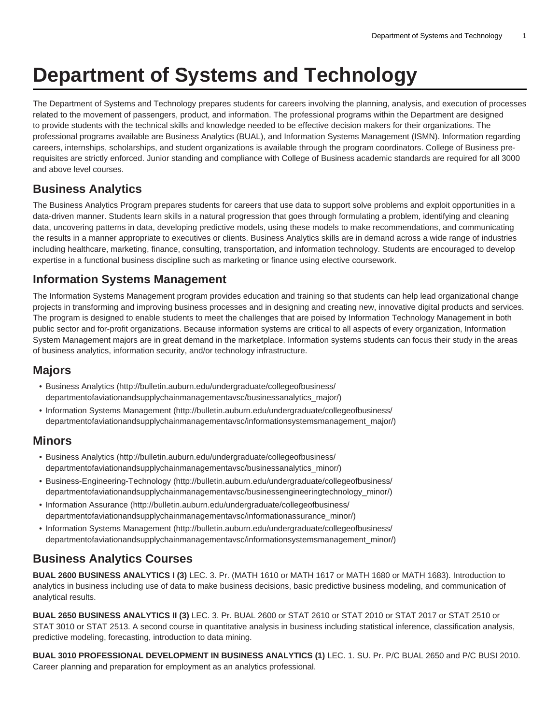# **Department of Systems and Technology**

The Department of Systems and Technology prepares students for careers involving the planning, analysis, and execution of processes related to the movement of passengers, product, and information. The professional programs within the Department are designed to provide students with the technical skills and knowledge needed to be effective decision makers for their organizations. The professional programs available are Business Analytics (BUAL), and Information Systems Management (ISMN). Information regarding careers, internships, scholarships, and student organizations is available through the program coordinators. College of Business prerequisites are strictly enforced. Junior standing and compliance with College of Business academic standards are required for all 3000 and above level courses.

## **Business Analytics**

The Business Analytics Program prepares students for careers that use data to support solve problems and exploit opportunities in a data-driven manner. Students learn skills in a natural progression that goes through formulating a problem, identifying and cleaning data, uncovering patterns in data, developing predictive models, using these models to make recommendations, and communicating the results in a manner appropriate to executives or clients. Business Analytics skills are in demand across a wide range of industries including healthcare, marketing, finance, consulting, transportation, and information technology. Students are encouraged to develop expertise in a functional business discipline such as marketing or finance using elective coursework.

## **Information Systems Management**

The Information Systems Management program provides education and training so that students can help lead organizational change projects in transforming and improving business processes and in designing and creating new, innovative digital products and services. The program is designed to enable students to meet the challenges that are poised by Information Technology Management in both public sector and for-profit organizations. Because information systems are critical to all aspects of every organization, Information System Management majors are in great demand in the marketplace. Information systems students can focus their study in the areas of business analytics, information security, and/or technology infrastructure.

## **Majors**

- [Business Analytics](http://bulletin.auburn.edu/undergraduate/collegeofbusiness/departmentofaviationandsupplychainmanagementavsc/businessanalytics_major/) ([http://bulletin.auburn.edu/undergraduate/collegeofbusiness/](http://bulletin.auburn.edu/undergraduate/collegeofbusiness/departmentofaviationandsupplychainmanagementavsc/businessanalytics_major/) [departmentofaviationandsupplychainmanagementavsc/businessanalytics\\_major/\)](http://bulletin.auburn.edu/undergraduate/collegeofbusiness/departmentofaviationandsupplychainmanagementavsc/businessanalytics_major/)
- [Information Systems Management](http://bulletin.auburn.edu/undergraduate/collegeofbusiness/departmentofaviationandsupplychainmanagementavsc/informationsystemsmanagement_major/) ([http://bulletin.auburn.edu/undergraduate/collegeofbusiness/](http://bulletin.auburn.edu/undergraduate/collegeofbusiness/departmentofaviationandsupplychainmanagementavsc/informationsystemsmanagement_major/) [departmentofaviationandsupplychainmanagementavsc/informationsystemsmanagement\\_major/](http://bulletin.auburn.edu/undergraduate/collegeofbusiness/departmentofaviationandsupplychainmanagementavsc/informationsystemsmanagement_major/))

#### **Minors**

- [Business Analytics](http://bulletin.auburn.edu/undergraduate/collegeofbusiness/departmentofaviationandsupplychainmanagementavsc/businessanalytics_minor/) ([http://bulletin.auburn.edu/undergraduate/collegeofbusiness/](http://bulletin.auburn.edu/undergraduate/collegeofbusiness/departmentofaviationandsupplychainmanagementavsc/businessanalytics_minor/) [departmentofaviationandsupplychainmanagementavsc/businessanalytics\\_minor/\)](http://bulletin.auburn.edu/undergraduate/collegeofbusiness/departmentofaviationandsupplychainmanagementavsc/businessanalytics_minor/)
- [Business-Engineering-Technology](http://bulletin.auburn.edu/undergraduate/collegeofbusiness/departmentofaviationandsupplychainmanagementavsc/businessengineeringtechnology_minor/) ([http://bulletin.auburn.edu/undergraduate/collegeofbusiness/](http://bulletin.auburn.edu/undergraduate/collegeofbusiness/departmentofaviationandsupplychainmanagementavsc/businessengineeringtechnology_minor/) [departmentofaviationandsupplychainmanagementavsc/businessengineeringtechnology\\_minor/](http://bulletin.auburn.edu/undergraduate/collegeofbusiness/departmentofaviationandsupplychainmanagementavsc/businessengineeringtechnology_minor/))
- [Information Assurance](http://bulletin.auburn.edu/undergraduate/collegeofbusiness/departmentofaviationandsupplychainmanagementavsc/informationassurance_minor/) ([http://bulletin.auburn.edu/undergraduate/collegeofbusiness/](http://bulletin.auburn.edu/undergraduate/collegeofbusiness/departmentofaviationandsupplychainmanagementavsc/informationassurance_minor/) [departmentofaviationandsupplychainmanagementavsc/informationassurance\\_minor/](http://bulletin.auburn.edu/undergraduate/collegeofbusiness/departmentofaviationandsupplychainmanagementavsc/informationassurance_minor/))
- [Information Systems Management](http://bulletin.auburn.edu/undergraduate/collegeofbusiness/departmentofaviationandsupplychainmanagementavsc/informationsystemsmanagement_minor/) ([http://bulletin.auburn.edu/undergraduate/collegeofbusiness/](http://bulletin.auburn.edu/undergraduate/collegeofbusiness/departmentofaviationandsupplychainmanagementavsc/informationsystemsmanagement_minor/) [departmentofaviationandsupplychainmanagementavsc/informationsystemsmanagement\\_minor/](http://bulletin.auburn.edu/undergraduate/collegeofbusiness/departmentofaviationandsupplychainmanagementavsc/informationsystemsmanagement_minor/))

## **Business Analytics Courses**

**BUAL 2600 BUSINESS ANALYTICS I (3)** LEC. 3. Pr. (MATH 1610 or MATH 1617 or MATH 1680 or MATH 1683). Introduction to analytics in business including use of data to make business decisions, basic predictive business modeling, and communication of analytical results.

**BUAL 2650 BUSINESS ANALYTICS II (3)** LEC. 3. Pr. BUAL 2600 or STAT 2610 or STAT 2010 or STAT 2017 or STAT 2510 or STAT 3010 or STAT 2513. A second course in quantitative analysis in business including statistical inference, classification analysis, predictive modeling, forecasting, introduction to data mining.

**BUAL 3010 PROFESSIONAL DEVELOPMENT IN BUSINESS ANALYTICS (1)** LEC. 1. SU. Pr. P/C BUAL 2650 and P/C BUSI 2010. Career planning and preparation for employment as an analytics professional.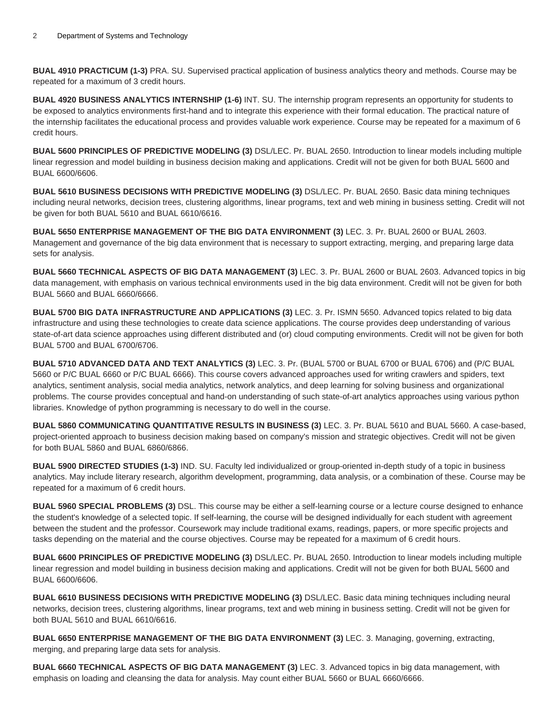**BUAL 4910 PRACTICUM (1-3)** PRA. SU. Supervised practical application of business analytics theory and methods. Course may be repeated for a maximum of 3 credit hours.

**BUAL 4920 BUSINESS ANALYTICS INTERNSHIP (1-6)** INT. SU. The internship program represents an opportunity for students to be exposed to analytics environments first-hand and to integrate this experience with their formal education. The practical nature of the internship facilitates the educational process and provides valuable work experience. Course may be repeated for a maximum of 6 credit hours.

**BUAL 5600 PRINCIPLES OF PREDICTIVE MODELING (3)** DSL/LEC. Pr. BUAL 2650. Introduction to linear models including multiple linear regression and model building in business decision making and applications. Credit will not be given for both BUAL 5600 and BUAL 6600/6606.

**BUAL 5610 BUSINESS DECISIONS WITH PREDICTIVE MODELING (3)** DSL/LEC. Pr. BUAL 2650. Basic data mining techniques including neural networks, decision trees, clustering algorithms, linear programs, text and web mining in business setting. Credit will not be given for both BUAL 5610 and BUAL 6610/6616.

**BUAL 5650 ENTERPRISE MANAGEMENT OF THE BIG DATA ENVIRONMENT (3)** LEC. 3. Pr. BUAL 2600 or BUAL 2603. Management and governance of the big data environment that is necessary to support extracting, merging, and preparing large data sets for analysis.

**BUAL 5660 TECHNICAL ASPECTS OF BIG DATA MANAGEMENT (3)** LEC. 3. Pr. BUAL 2600 or BUAL 2603. Advanced topics in big data management, with emphasis on various technical environments used in the big data environment. Credit will not be given for both BUAL 5660 and BUAL 6660/6666.

**BUAL 5700 BIG DATA INFRASTRUCTURE AND APPLICATIONS (3)** LEC. 3. Pr. ISMN 5650. Advanced topics related to big data infrastructure and using these technologies to create data science applications. The course provides deep understanding of various state-of-art data science approaches using different distributed and (or) cloud computing environments. Credit will not be given for both BUAL 5700 and BUAL 6700/6706.

**BUAL 5710 ADVANCED DATA AND TEXT ANALYTICS (3)** LEC. 3. Pr. (BUAL 5700 or BUAL 6700 or BUAL 6706) and (P/C BUAL 5660 or P/C BUAL 6660 or P/C BUAL 6666). This course covers advanced approaches used for writing crawlers and spiders, text analytics, sentiment analysis, social media analytics, network analytics, and deep learning for solving business and organizational problems. The course provides conceptual and hand-on understanding of such state-of-art analytics approaches using various python libraries. Knowledge of python programming is necessary to do well in the course.

**BUAL 5860 COMMUNICATING QUANTITATIVE RESULTS IN BUSINESS (3)** LEC. 3. Pr. BUAL 5610 and BUAL 5660. A case-based, project-oriented approach to business decision making based on company's mission and strategic objectives. Credit will not be given for both BUAL 5860 and BUAL 6860/6866.

**BUAL 5900 DIRECTED STUDIES (1-3)** IND. SU. Faculty led individualized or group-oriented in-depth study of a topic in business analytics. May include literary research, algorithm development, programming, data analysis, or a combination of these. Course may be repeated for a maximum of 6 credit hours.

**BUAL 5960 SPECIAL PROBLEMS (3)** DSL. This course may be either a self-learning course or a lecture course designed to enhance the student's knowledge of a selected topic. If self-learning, the course will be designed individually for each student with agreement between the student and the professor. Coursework may include traditional exams, readings, papers, or more specific projects and tasks depending on the material and the course objectives. Course may be repeated for a maximum of 6 credit hours.

**BUAL 6600 PRINCIPLES OF PREDICTIVE MODELING (3)** DSL/LEC. Pr. BUAL 2650. Introduction to linear models including multiple linear regression and model building in business decision making and applications. Credit will not be given for both BUAL 5600 and BUAL 6600/6606.

**BUAL 6610 BUSINESS DECISIONS WITH PREDICTIVE MODELING (3)** DSL/LEC. Basic data mining techniques including neural networks, decision trees, clustering algorithms, linear programs, text and web mining in business setting. Credit will not be given for both BUAL 5610 and BUAL 6610/6616.

**BUAL 6650 ENTERPRISE MANAGEMENT OF THE BIG DATA ENVIRONMENT (3)** LEC. 3. Managing, governing, extracting, merging, and preparing large data sets for analysis.

**BUAL 6660 TECHNICAL ASPECTS OF BIG DATA MANAGEMENT (3)** LEC. 3. Advanced topics in big data management, with emphasis on loading and cleansing the data for analysis. May count either BUAL 5660 or BUAL 6660/6666.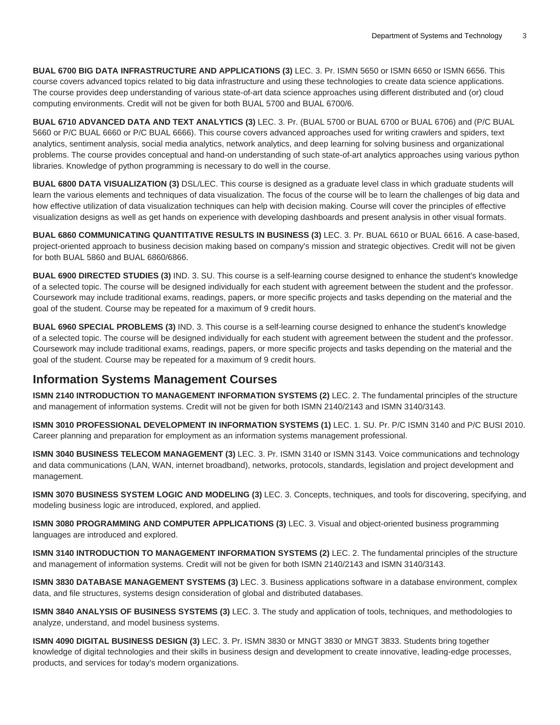**BUAL 6700 BIG DATA INFRASTRUCTURE AND APPLICATIONS (3)** LEC. 3. Pr. ISMN 5650 or ISMN 6650 or ISMN 6656. This course covers advanced topics related to big data infrastructure and using these technologies to create data science applications. The course provides deep understanding of various state-of-art data science approaches using different distributed and (or) cloud computing environments. Credit will not be given for both BUAL 5700 and BUAL 6700/6.

**BUAL 6710 ADVANCED DATA AND TEXT ANALYTICS (3)** LEC. 3. Pr. (BUAL 5700 or BUAL 6700 or BUAL 6706) and (P/C BUAL 5660 or P/C BUAL 6660 or P/C BUAL 6666). This course covers advanced approaches used for writing crawlers and spiders, text analytics, sentiment analysis, social media analytics, network analytics, and deep learning for solving business and organizational problems. The course provides conceptual and hand-on understanding of such state-of-art analytics approaches using various python libraries. Knowledge of python programming is necessary to do well in the course.

**BUAL 6800 DATA VISUALIZATION (3)** DSL/LEC. This course is designed as a graduate level class in which graduate students will learn the various elements and techniques of data visualization. The focus of the course will be to learn the challenges of big data and how effective utilization of data visualization techniques can help with decision making. Course will cover the principles of effective visualization designs as well as get hands on experience with developing dashboards and present analysis in other visual formats.

**BUAL 6860 COMMUNICATING QUANTITATIVE RESULTS IN BUSINESS (3)** LEC. 3. Pr. BUAL 6610 or BUAL 6616. A case-based, project-oriented approach to business decision making based on company's mission and strategic objectives. Credit will not be given for both BUAL 5860 and BUAL 6860/6866.

**BUAL 6900 DIRECTED STUDIES (3)** IND. 3. SU. This course is a self-learning course designed to enhance the student's knowledge of a selected topic. The course will be designed individually for each student with agreement between the student and the professor. Coursework may include traditional exams, readings, papers, or more specific projects and tasks depending on the material and the goal of the student. Course may be repeated for a maximum of 9 credit hours.

**BUAL 6960 SPECIAL PROBLEMS (3)** IND. 3. This course is a self-learning course designed to enhance the student's knowledge of a selected topic. The course will be designed individually for each student with agreement between the student and the professor. Coursework may include traditional exams, readings, papers, or more specific projects and tasks depending on the material and the goal of the student. Course may be repeated for a maximum of 9 credit hours.

### **Information Systems Management Courses**

**ISMN 2140 INTRODUCTION TO MANAGEMENT INFORMATION SYSTEMS (2)** LEC. 2. The fundamental principles of the structure and management of information systems. Credit will not be given for both ISMN 2140/2143 and ISMN 3140/3143.

**ISMN 3010 PROFESSIONAL DEVELOPMENT IN INFORMATION SYSTEMS (1)** LEC. 1. SU. Pr. P/C ISMN 3140 and P/C BUSI 2010. Career planning and preparation for employment as an information systems management professional.

**ISMN 3040 BUSINESS TELECOM MANAGEMENT (3)** LEC. 3. Pr. ISMN 3140 or ISMN 3143. Voice communications and technology and data communications (LAN, WAN, internet broadband), networks, protocols, standards, legislation and project development and management.

**ISMN 3070 BUSINESS SYSTEM LOGIC AND MODELING (3)** LEC. 3. Concepts, techniques, and tools for discovering, specifying, and modeling business logic are introduced, explored, and applied.

**ISMN 3080 PROGRAMMING AND COMPUTER APPLICATIONS (3)** LEC. 3. Visual and object-oriented business programming languages are introduced and explored.

**ISMN 3140 INTRODUCTION TO MANAGEMENT INFORMATION SYSTEMS (2)** LEC. 2. The fundamental principles of the structure and management of information systems. Credit will not be given for both ISMN 2140/2143 and ISMN 3140/3143.

**ISMN 3830 DATABASE MANAGEMENT SYSTEMS (3)** LEC. 3. Business applications software in a database environment, complex data, and file structures, systems design consideration of global and distributed databases.

**ISMN 3840 ANALYSIS OF BUSINESS SYSTEMS (3)** LEC. 3. The study and application of tools, techniques, and methodologies to analyze, understand, and model business systems.

**ISMN 4090 DIGITAL BUSINESS DESIGN (3)** LEC. 3. Pr. ISMN 3830 or MNGT 3830 or MNGT 3833. Students bring together knowledge of digital technologies and their skills in business design and development to create innovative, leading-edge processes, products, and services for today's modern organizations.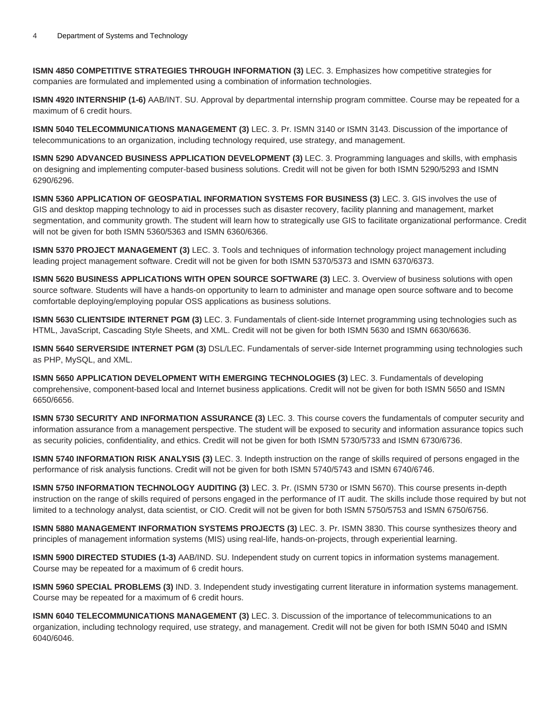**ISMN 4850 COMPETITIVE STRATEGIES THROUGH INFORMATION (3)** LEC. 3. Emphasizes how competitive strategies for companies are formulated and implemented using a combination of information technologies.

**ISMN 4920 INTERNSHIP (1-6)** AAB/INT. SU. Approval by departmental internship program committee. Course may be repeated for a maximum of 6 credit hours.

**ISMN 5040 TELECOMMUNICATIONS MANAGEMENT (3)** LEC. 3. Pr. ISMN 3140 or ISMN 3143. Discussion of the importance of telecommunications to an organization, including technology required, use strategy, and management.

**ISMN 5290 ADVANCED BUSINESS APPLICATION DEVELOPMENT (3)** LEC. 3. Programming languages and skills, with emphasis on designing and implementing computer-based business solutions. Credit will not be given for both ISMN 5290/5293 and ISMN 6290/6296.

**ISMN 5360 APPLICATION OF GEOSPATIAL INFORMATION SYSTEMS FOR BUSINESS (3)** LEC. 3. GIS involves the use of GIS and desktop mapping technology to aid in processes such as disaster recovery, facility planning and management, market segmentation, and community growth. The student will learn how to strategically use GIS to facilitate organizational performance. Credit will not be given for both ISMN 5360/5363 and ISMN 6360/6366.

**ISMN 5370 PROJECT MANAGEMENT (3)** LEC. 3. Tools and techniques of information technology project management including leading project management software. Credit will not be given for both ISMN 5370/5373 and ISMN 6370/6373.

**ISMN 5620 BUSINESS APPLICATIONS WITH OPEN SOURCE SOFTWARE (3)** LEC. 3. Overview of business solutions with open source software. Students will have a hands-on opportunity to learn to administer and manage open source software and to become comfortable deploying/employing popular OSS applications as business solutions.

**ISMN 5630 CLIENTSIDE INTERNET PGM (3)** LEC. 3. Fundamentals of client-side Internet programming using technologies such as HTML, JavaScript, Cascading Style Sheets, and XML. Credit will not be given for both ISMN 5630 and ISMN 6630/6636.

**ISMN 5640 SERVERSIDE INTERNET PGM (3)** DSL/LEC. Fundamentals of server-side Internet programming using technologies such as PHP, MySQL, and XML.

**ISMN 5650 APPLICATION DEVELOPMENT WITH EMERGING TECHNOLOGIES (3)** LEC. 3. Fundamentals of developing comprehensive, component-based local and Internet business applications. Credit will not be given for both ISMN 5650 and ISMN 6650/6656.

**ISMN 5730 SECURITY AND INFORMATION ASSURANCE (3)** LEC. 3. This course covers the fundamentals of computer security and information assurance from a management perspective. The student will be exposed to security and information assurance topics such as security policies, confidentiality, and ethics. Credit will not be given for both ISMN 5730/5733 and ISMN 6730/6736.

**ISMN 5740 INFORMATION RISK ANALYSIS (3)** LEC. 3. Indepth instruction on the range of skills required of persons engaged in the performance of risk analysis functions. Credit will not be given for both ISMN 5740/5743 and ISMN 6740/6746.

**ISMN 5750 INFORMATION TECHNOLOGY AUDITING (3)** LEC. 3. Pr. (ISMN 5730 or ISMN 5670). This course presents in-depth instruction on the range of skills required of persons engaged in the performance of IT audit. The skills include those required by but not limited to a technology analyst, data scientist, or CIO. Credit will not be given for both ISMN 5750/5753 and ISMN 6750/6756.

**ISMN 5880 MANAGEMENT INFORMATION SYSTEMS PROJECTS (3)** LEC. 3. Pr. ISMN 3830. This course synthesizes theory and principles of management information systems (MIS) using real-life, hands-on-projects, through experiential learning.

**ISMN 5900 DIRECTED STUDIES (1-3)** AAB/IND. SU. Independent study on current topics in information systems management. Course may be repeated for a maximum of 6 credit hours.

**ISMN 5960 SPECIAL PROBLEMS (3)** IND. 3. Independent study investigating current literature in information systems management. Course may be repeated for a maximum of 6 credit hours.

**ISMN 6040 TELECOMMUNICATIONS MANAGEMENT (3)** LEC. 3. Discussion of the importance of telecommunications to an organization, including technology required, use strategy, and management. Credit will not be given for both ISMN 5040 and ISMN 6040/6046.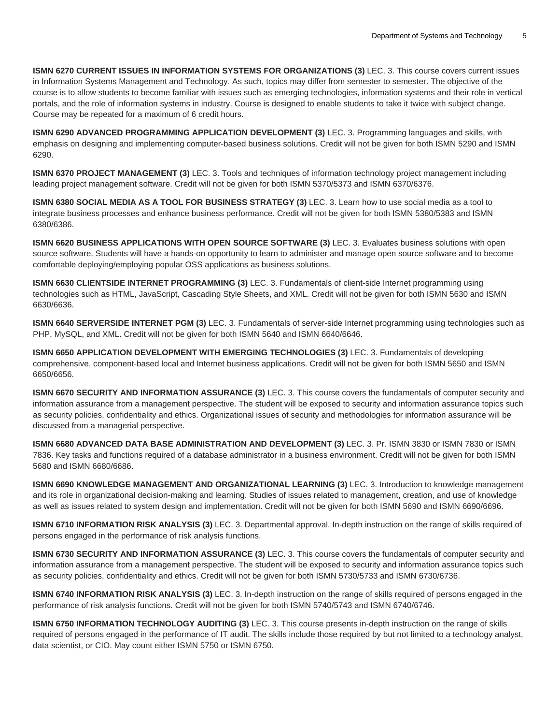**ISMN 6270 CURRENT ISSUES IN INFORMATION SYSTEMS FOR ORGANIZATIONS (3)** LEC. 3. This course covers current issues in Information Systems Management and Technology. As such, topics may differ from semester to semester. The objective of the course is to allow students to become familiar with issues such as emerging technologies, information systems and their role in vertical portals, and the role of information systems in industry. Course is designed to enable students to take it twice with subject change. Course may be repeated for a maximum of 6 credit hours.

**ISMN 6290 ADVANCED PROGRAMMING APPLICATION DEVELOPMENT (3)** LEC. 3. Programming languages and skills, with emphasis on designing and implementing computer-based business solutions. Credit will not be given for both ISMN 5290 and ISMN 6290.

**ISMN 6370 PROJECT MANAGEMENT (3)** LEC. 3. Tools and techniques of information technology project management including leading project management software. Credit will not be given for both ISMN 5370/5373 and ISMN 6370/6376.

**ISMN 6380 SOCIAL MEDIA AS A TOOL FOR BUSINESS STRATEGY (3)** LEC. 3. Learn how to use social media as a tool to integrate business processes and enhance business performance. Credit will not be given for both ISMN 5380/5383 and ISMN 6380/6386.

**ISMN 6620 BUSINESS APPLICATIONS WITH OPEN SOURCE SOFTWARE (3)** LEC. 3. Evaluates business solutions with open source software. Students will have a hands-on opportunity to learn to administer and manage open source software and to become comfortable deploying/employing popular OSS applications as business solutions.

**ISMN 6630 CLIENTSIDE INTERNET PROGRAMMING (3)** LEC. 3. Fundamentals of client-side Internet programming using technologies such as HTML, JavaScript, Cascading Style Sheets, and XML. Credit will not be given for both ISMN 5630 and ISMN 6630/6636.

**ISMN 6640 SERVERSIDE INTERNET PGM (3)** LEC. 3. Fundamentals of server-side Internet programming using technologies such as PHP, MySQL, and XML. Credit will not be given for both ISMN 5640 and ISMN 6640/6646.

**ISMN 6650 APPLICATION DEVELOPMENT WITH EMERGING TECHNOLOGIES (3)** LEC. 3. Fundamentals of developing comprehensive, component-based local and Internet business applications. Credit will not be given for both ISMN 5650 and ISMN 6650/6656.

**ISMN 6670 SECURITY AND INFORMATION ASSURANCE (3)** LEC. 3. This course covers the fundamentals of computer security and information assurance from a management perspective. The student will be exposed to security and information assurance topics such as security policies, confidentiality and ethics. Organizational issues of security and methodologies for information assurance will be discussed from a managerial perspective.

**ISMN 6680 ADVANCED DATA BASE ADMINISTRATION AND DEVELOPMENT (3)** LEC. 3. Pr. ISMN 3830 or ISMN 7830 or ISMN 7836. Key tasks and functions required of a database administrator in a business environment. Credit will not be given for both ISMN 5680 and ISMN 6680/6686.

**ISMN 6690 KNOWLEDGE MANAGEMENT AND ORGANIZATIONAL LEARNING (3)** LEC. 3. Introduction to knowledge management and its role in organizational decision-making and learning. Studies of issues related to management, creation, and use of knowledge as well as issues related to system design and implementation. Credit will not be given for both ISMN 5690 and ISMN 6690/6696.

**ISMN 6710 INFORMATION RISK ANALYSIS (3)** LEC. 3. Departmental approval. In-depth instruction on the range of skills required of persons engaged in the performance of risk analysis functions.

**ISMN 6730 SECURITY AND INFORMATION ASSURANCE (3)** LEC. 3. This course covers the fundamentals of computer security and information assurance from a management perspective. The student will be exposed to security and information assurance topics such as security policies, confidentiality and ethics. Credit will not be given for both ISMN 5730/5733 and ISMN 6730/6736.

**ISMN 6740 INFORMATION RISK ANALYSIS (3)** LEC. 3. In-depth instruction on the range of skills required of persons engaged in the performance of risk analysis functions. Credit will not be given for both ISMN 5740/5743 and ISMN 6740/6746.

**ISMN 6750 INFORMATION TECHNOLOGY AUDITING (3)** LEC. 3. This course presents in-depth instruction on the range of skills required of persons engaged in the performance of IT audit. The skills include those required by but not limited to a technology analyst, data scientist, or CIO. May count either ISMN 5750 or ISMN 6750.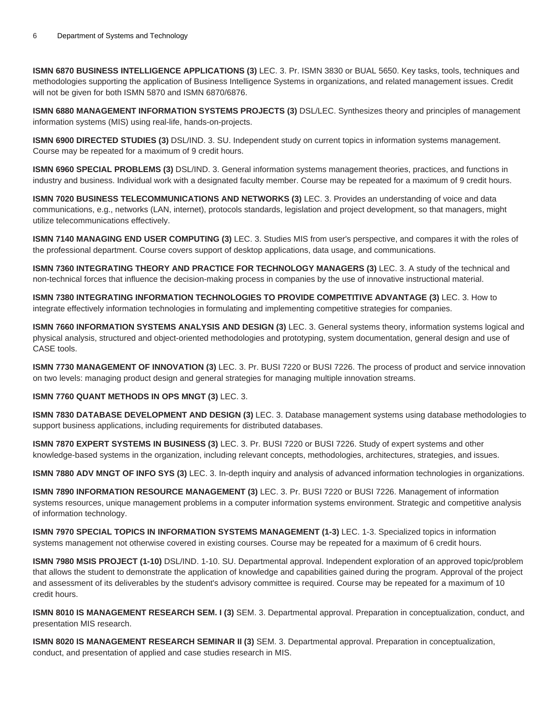**ISMN 6870 BUSINESS INTELLIGENCE APPLICATIONS (3)** LEC. 3. Pr. ISMN 3830 or BUAL 5650. Key tasks, tools, techniques and methodologies supporting the application of Business Intelligence Systems in organizations, and related management issues. Credit will not be given for both ISMN 5870 and ISMN 6870/6876.

**ISMN 6880 MANAGEMENT INFORMATION SYSTEMS PROJECTS (3)** DSL/LEC. Synthesizes theory and principles of management information systems (MIS) using real-life, hands-on-projects.

**ISMN 6900 DIRECTED STUDIES (3)** DSL/IND. 3. SU. Independent study on current topics in information systems management. Course may be repeated for a maximum of 9 credit hours.

**ISMN 6960 SPECIAL PROBLEMS (3)** DSL/IND. 3. General information systems management theories, practices, and functions in industry and business. Individual work with a designated faculty member. Course may be repeated for a maximum of 9 credit hours.

**ISMN 7020 BUSINESS TELECOMMUNICATIONS AND NETWORKS (3)** LEC. 3. Provides an understanding of voice and data communications, e.g., networks (LAN, internet), protocols standards, legislation and project development, so that managers, might utilize telecommunications effectively.

**ISMN 7140 MANAGING END USER COMPUTING (3)** LEC. 3. Studies MIS from user's perspective, and compares it with the roles of the professional department. Course covers support of desktop applications, data usage, and communications.

**ISMN 7360 INTEGRATING THEORY AND PRACTICE FOR TECHNOLOGY MANAGERS (3)** LEC. 3. A study of the technical and non-technical forces that influence the decision-making process in companies by the use of innovative instructional material.

**ISMN 7380 INTEGRATING INFORMATION TECHNOLOGIES TO PROVIDE COMPETITIVE ADVANTAGE (3)** LEC. 3. How to integrate effectively information technologies in formulating and implementing competitive strategies for companies.

**ISMN 7660 INFORMATION SYSTEMS ANALYSIS AND DESIGN (3)** LEC. 3. General systems theory, information systems logical and physical analysis, structured and object-oriented methodologies and prototyping, system documentation, general design and use of CASE tools.

**ISMN 7730 MANAGEMENT OF INNOVATION (3)** LEC. 3. Pr. BUSI 7220 or BUSI 7226. The process of product and service innovation on two levels: managing product design and general strategies for managing multiple innovation streams.

#### **ISMN 7760 QUANT METHODS IN OPS MNGT (3)** LEC. 3.

**ISMN 7830 DATABASE DEVELOPMENT AND DESIGN (3)** LEC. 3. Database management systems using database methodologies to support business applications, including requirements for distributed databases.

**ISMN 7870 EXPERT SYSTEMS IN BUSINESS (3)** LEC. 3. Pr. BUSI 7220 or BUSI 7226. Study of expert systems and other knowledge-based systems in the organization, including relevant concepts, methodologies, architectures, strategies, and issues.

**ISMN 7880 ADV MNGT OF INFO SYS (3)** LEC. 3. In-depth inquiry and analysis of advanced information technologies in organizations.

**ISMN 7890 INFORMATION RESOURCE MANAGEMENT (3)** LEC. 3. Pr. BUSI 7220 or BUSI 7226. Management of information systems resources, unique management problems in a computer information systems environment. Strategic and competitive analysis of information technology.

**ISMN 7970 SPECIAL TOPICS IN INFORMATION SYSTEMS MANAGEMENT (1-3)** LEC. 1-3. Specialized topics in information systems management not otherwise covered in existing courses. Course may be repeated for a maximum of 6 credit hours.

**ISMN 7980 MSIS PROJECT (1-10)** DSL/IND. 1-10. SU. Departmental approval. Independent exploration of an approved topic/problem that allows the student to demonstrate the application of knowledge and capabilities gained during the program. Approval of the project and assessment of its deliverables by the student's advisory committee is required. Course may be repeated for a maximum of 10 credit hours.

**ISMN 8010 IS MANAGEMENT RESEARCH SEM. I (3)** SEM. 3. Departmental approval. Preparation in conceptualization, conduct, and presentation MIS research.

**ISMN 8020 IS MANAGEMENT RESEARCH SEMINAR II (3)** SEM. 3. Departmental approval. Preparation in conceptualization, conduct, and presentation of applied and case studies research in MIS.